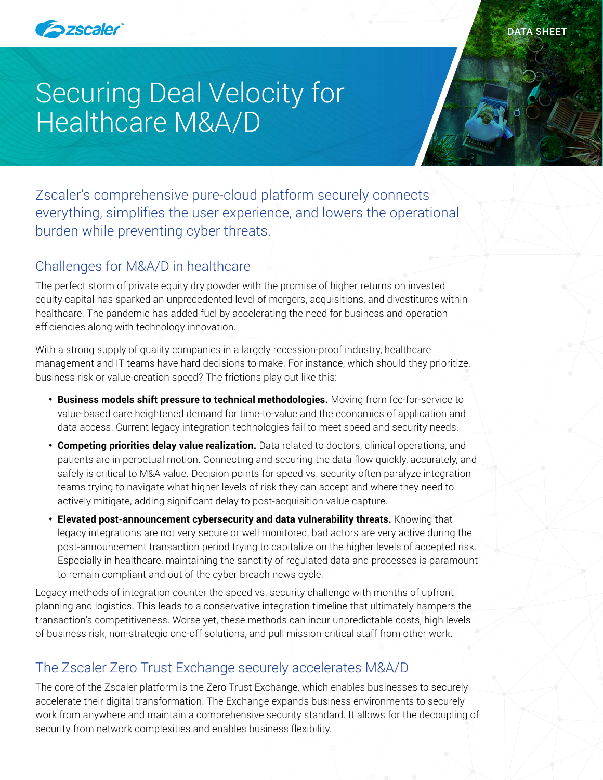

# Securing Deal Velocity for Healthcare M&A/D

Zscaler's comprehensive pure-cloud platform securely connects everything, simplifies the user experience, and lowers the operational burden while preventing cyber threats.

# Challenges for M&A/D in healthcare

The perfect storm of private equity dry powder with the promise of higher returns on invested equity capital has sparked an unprecedented level of mergers, acquisitions, and divestitures within healthcare. The pandemic has added fuel by accelerating the need for business and operation efficiencies along with technology innovation.

With a strong supply of quality companies in a largely recession-proof industry, healthcare management and IT teams have hard decisions to make. For instance, which should they prioritize, business risk or value-creation speed? The frictions play out like this:

- **• Business models shift pressure to technical methodologies.** Moving from fee-for-service to value-based care heightened demand for time-to-value and the economics of application and data access. Current legacy integration technologies fail to meet speed and security needs.
- **• Competing priorities delay value realization.** Data related to doctors, clinical operations, and patients are in perpetual motion. Connecting and securing the data flow quickly, accurately, and safely is critical to M&A value. Decision points for speed vs. security often paralyze integration teams trying to navigate what higher levels of risk they can accept and where they need to actively mitigate, adding significant delay to post-acquisition value capture.
- **• Elevated post-announcement cybersecurity and data vulnerability threats.** Knowing that legacy integrations are not very secure or well monitored, bad actors are very active during the post-announcement transaction period trying to capitalize on the higher levels of accepted risk. Especially in healthcare, maintaining the sanctity of regulated data and processes is paramount to remain compliant and out of the cyber breach news cycle.

Legacy methods of integration counter the speed vs. security challenge with months of upfront planning and logistics. This leads to a conservative integration timeline that ultimately hampers the transaction's competitiveness. Worse yet, these methods can incur unpredictable costs, high levels of business risk, non-strategic one-off solutions, and pull mission-critical staff from other work.

# The Zscaler Zero Trust Exchange securely accelerates M&A/D

The core of the Zscaler platform is the Zero Trust Exchange, which enables businesses to securely accelerate their digital transformation. The Exchange expands business environments to securely work from anywhere and maintain a comprehensive security standard. It allows for the decoupling of security from network complexities and enables business flexibility.